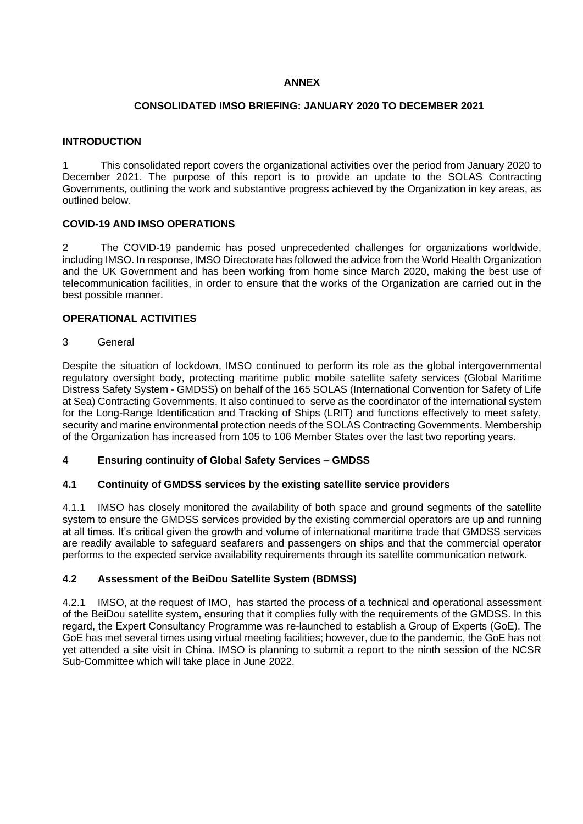## **ANNEX**

### **CONSOLIDATED IMSO BRIEFING: JANUARY 2020 TO DECEMBER 2021**

# **INTRODUCTION**

1 This consolidated report covers the organizational activities over the period from January 2020 to December 2021. The purpose of this report is to provide an update to the SOLAS Contracting Governments, outlining the work and substantive progress achieved by the Organization in key areas, as outlined below.

## **COVID-19 AND IMSO OPERATIONS**

2 The COVID-19 pandemic has posed unprecedented challenges for organizations worldwide, including IMSO. In response, IMSO Directorate has followed the advice from the World Health Organization and the UK Government and has been working from home since March 2020, making the best use of telecommunication facilities, in order to ensure that the works of the Organization are carried out in the best possible manner.

## **OPERATIONAL ACTIVITIES**

### 3 General

Despite the situation of lockdown, IMSO continued to perform its role as the global intergovernmental regulatory oversight body, protecting maritime public mobile satellite safety services (Global Maritime Distress Safety System - GMDSS) on behalf of the 165 SOLAS (International Convention for Safety of Life at Sea) Contracting Governments. It also continued to serve as the coordinator of the international system for the Long-Range Identification and Tracking of Ships (LRIT) and functions effectively to meet safety, security and marine environmental protection needs of the SOLAS Contracting Governments. Membership of the Organization has increased from 105 to 106 Member States over the last two reporting years.

### **4 Ensuring continuity of Global Safety Services – GMDSS**

### **4.1 Continuity of GMDSS services by the existing satellite service providers**

4.1.1 IMSO has closely monitored the availability of both space and ground segments of the satellite system to ensure the GMDSS services provided by the existing commercial operators are up and running at all times. It's critical given the growth and volume of international maritime trade that GMDSS services are readily available to safeguard seafarers and passengers on ships and that the commercial operator performs to the expected service availability requirements through its satellite communication network.

### **4.2 Assessment of the BeiDou Satellite System (BDMSS)**

4.2.1 IMSO, at the request of IMO, has started the process of a technical and operational assessment of the BeiDou satellite system, ensuring that it complies fully with the requirements of the GMDSS. In this regard, the Expert Consultancy Programme was re-launched to establish a Group of Experts (GoE). The GoE has met several times using virtual meeting facilities; however, due to the pandemic, the GoE has not yet attended a site visit in China. IMSO is planning to submit a report to the ninth session of the NCSR Sub-Committee which will take place in June 2022.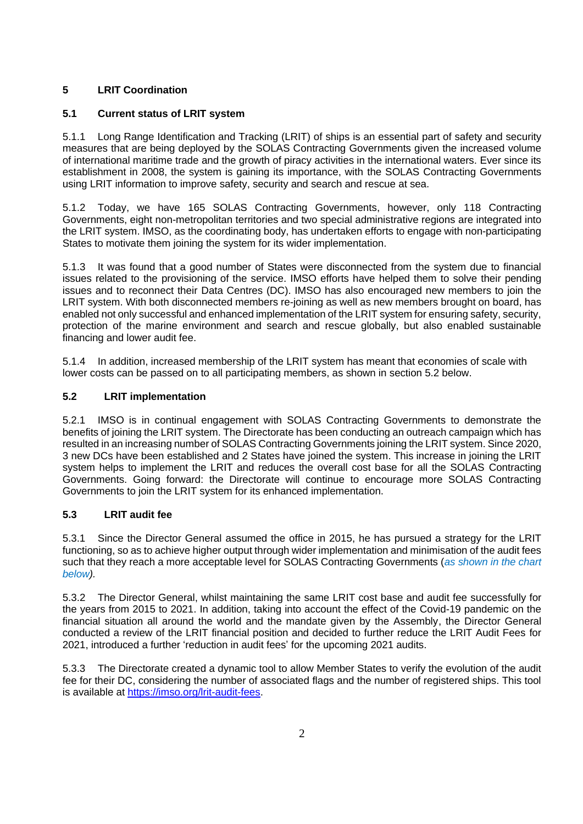# **5 LRIT Coordination**

# **5.1 Current status of LRIT system**

5.1.1 Long Range Identification and Tracking (LRIT) of ships is an essential part of safety and security measures that are being deployed by the SOLAS Contracting Governments given the increased volume of international maritime trade and the growth of piracy activities in the international waters. Ever since its establishment in 2008, the system is gaining its importance, with the SOLAS Contracting Governments using LRIT information to improve safety, security and search and rescue at sea.

5.1.2 Today, we have 165 SOLAS Contracting Governments, however, only 118 Contracting Governments, eight non-metropolitan territories and two special administrative regions are integrated into the LRIT system. IMSO, as the coordinating body, has undertaken efforts to engage with non-participating States to motivate them joining the system for its wider implementation.

5.1.3 It was found that a good number of States were disconnected from the system due to financial issues related to the provisioning of the service. IMSO efforts have helped them to solve their pending issues and to reconnect their Data Centres (DC). IMSO has also encouraged new members to join the LRIT system. With both disconnected members re-joining as well as new members brought on board, has enabled not only successful and enhanced implementation of the LRIT system for ensuring safety, security, protection of the marine environment and search and rescue globally, but also enabled sustainable financing and lower audit fee.

5.1.4 In addition, increased membership of the LRIT system has meant that economies of scale with lower costs can be passed on to all participating members, as shown in section 5.2 below.

# **5.2 LRIT implementation**

5.2.1 IMSO is in continual engagement with SOLAS Contracting Governments to demonstrate the benefits of joining the LRIT system. The Directorate has been conducting an outreach campaign which has resulted in an increasing number of SOLAS Contracting Governments joining the LRIT system. Since 2020, 3 new DCs have been established and 2 States have joined the system. This increase in joining the LRIT system helps to implement the LRIT and reduces the overall cost base for all the SOLAS Contracting Governments. Going forward: the Directorate will continue to encourage more SOLAS Contracting Governments to join the LRIT system for its enhanced implementation.

# **5.3 LRIT audit fee**

5.3.1 Since the Director General assumed the office in 2015, he has pursued a strategy for the LRIT functioning, so as to achieve higher output through wider implementation and minimisation of the audit fees such that they reach a more acceptable level for SOLAS Contracting Governments (*as shown in the chart below).*

5.3.2 The Director General, whilst maintaining the same LRIT cost base and audit fee successfully for the years from 2015 to 2021. In addition, taking into account the effect of the Covid-19 pandemic on the financial situation all around the world and the mandate given by the Assembly, the Director General conducted a review of the LRIT financial position and decided to further reduce the LRIT Audit Fees for 2021, introduced a further 'reduction in audit fees' for the upcoming 2021 audits.

5.3.3 The Directorate created a dynamic tool to allow Member States to verify the evolution of the audit fee for their DC, considering the number of associated flags and the number of registered ships. This tool is available at [https://imso.org/lrit-audit-fees.](https://imso.org/lrit-audit-fees)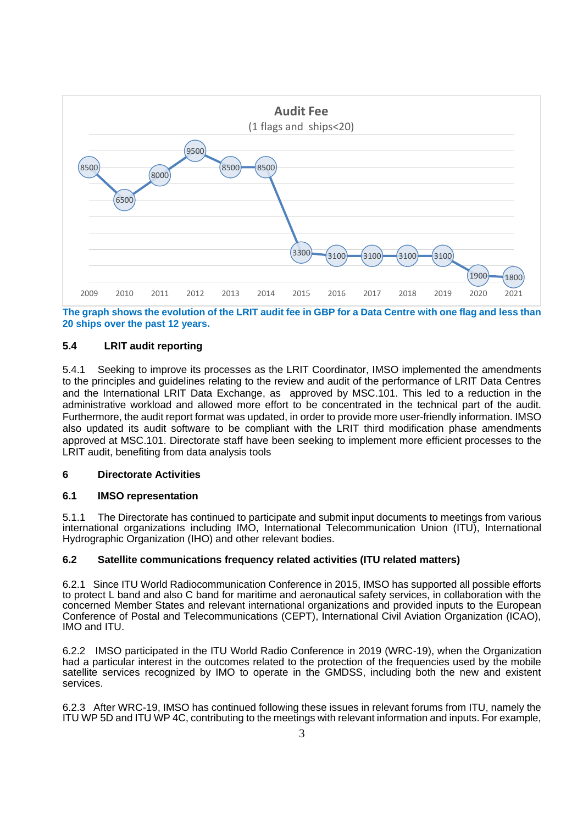

**The graph shows the evolution of the LRIT audit fee in GBP for a Data Centre with one flag and less than 20 ships over the past 12 years.** 

## **5.4 LRIT audit reporting**

5.4.1 Seeking to improve its processes as the LRIT Coordinator, IMSO implemented the amendments to the principles and guidelines relating to the review and audit of the performance of LRIT Data Centres and the International LRIT Data Exchange, as approved by MSC.101. This led to a reduction in the administrative workload and allowed more effort to be concentrated in the technical part of the audit. Furthermore, the audit report format was updated, in order to provide more user-friendly information. IMSO also updated its audit software to be compliant with the LRIT third modification phase amendments approved at MSC.101. Directorate staff have been seeking to implement more efficient processes to the LRIT audit, benefiting from data analysis tools

### **6 Directorate Activities**

### **6.1 IMSO representation**

5.1.1 The Directorate has continued to participate and submit input documents to meetings from various international organizations including IMO, International Telecommunication Union (ITU), International Hydrographic Organization (IHO) and other relevant bodies.

### **6.2 Satellite communications frequency related activities (ITU related matters)**

6.2.1 Since ITU World Radiocommunication Conference in 2015, IMSO has supported all possible efforts to protect L band and also C band for maritime and aeronautical safety services, in collaboration with the concerned Member States and relevant international organizations and provided inputs to the European Conference of Postal and Telecommunications (CEPT), International Civil Aviation Organization (ICAO), IMO and ITU.

6.2.2 IMSO participated in the ITU World Radio Conference in 2019 (WRC-19), when the Organization had a particular interest in the outcomes related to the protection of the frequencies used by the mobile satellite services recognized by IMO to operate in the GMDSS, including both the new and existent services.

6.2.3 After WRC-19, IMSO has continued following these issues in relevant forums from ITU, namely the ITU WP 5D and ITU WP 4C, contributing to the meetings with relevant information and inputs. For example,